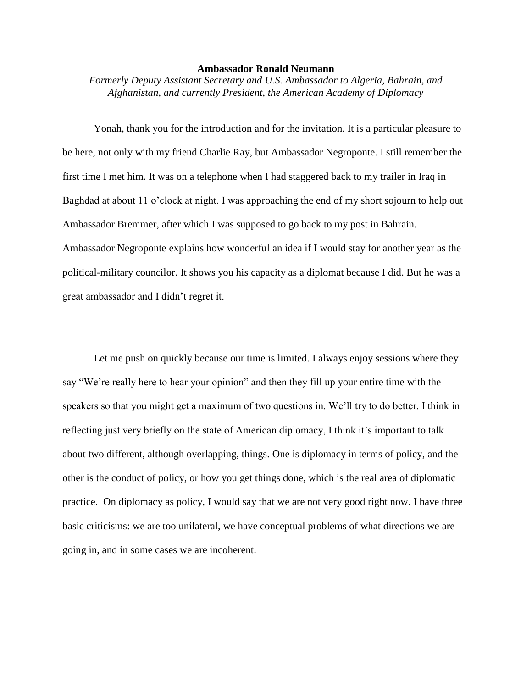## **Ambassador Ronald Neumann**

*Formerly Deputy Assistant Secretary and U.S. Ambassador to Algeria, Bahrain, and Afghanistan, and currently President, the American Academy of Diplomacy*

Yonah, thank you for the introduction and for the invitation. It is a particular pleasure to be here, not only with my friend Charlie Ray, but Ambassador Negroponte. I still remember the first time I met him. It was on a telephone when I had staggered back to my trailer in Iraq in Baghdad at about 11 o'clock at night. I was approaching the end of my short sojourn to help out Ambassador Bremmer, after which I was supposed to go back to my post in Bahrain. Ambassador Negroponte explains how wonderful an idea if I would stay for another year as the political-military councilor. It shows you his capacity as a diplomat because I did. But he was a great ambassador and I didn't regret it.

Let me push on quickly because our time is limited. I always enjoy sessions where they say "We're really here to hear your opinion" and then they fill up your entire time with the speakers so that you might get a maximum of two questions in. We'll try to do better. I think in reflecting just very briefly on the state of American diplomacy, I think it's important to talk about two different, although overlapping, things. One is diplomacy in terms of policy, and the other is the conduct of policy, or how you get things done, which is the real area of diplomatic practice. On diplomacy as policy, I would say that we are not very good right now. I have three basic criticisms: we are too unilateral, we have conceptual problems of what directions we are going in, and in some cases we are incoherent.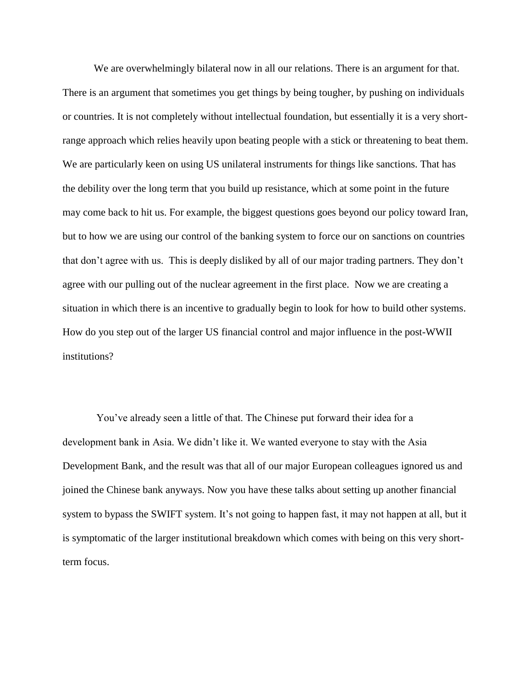We are overwhelmingly bilateral now in all our relations. There is an argument for that. There is an argument that sometimes you get things by being tougher, by pushing on individuals or countries. It is not completely without intellectual foundation, but essentially it is a very shortrange approach which relies heavily upon beating people with a stick or threatening to beat them. We are particularly keen on using US unilateral instruments for things like sanctions. That has the debility over the long term that you build up resistance, which at some point in the future may come back to hit us. For example, the biggest questions goes beyond our policy toward Iran, but to how we are using our control of the banking system to force our on sanctions on countries that don't agree with us. This is deeply disliked by all of our major trading partners. They don't agree with our pulling out of the nuclear agreement in the first place. Now we are creating a situation in which there is an incentive to gradually begin to look for how to build other systems. How do you step out of the larger US financial control and major influence in the post-WWII institutions?

You've already seen a little of that. The Chinese put forward their idea for a development bank in Asia. We didn't like it. We wanted everyone to stay with the Asia Development Bank, and the result was that all of our major European colleagues ignored us and joined the Chinese bank anyways. Now you have these talks about setting up another financial system to bypass the SWIFT system. It's not going to happen fast, it may not happen at all, but it is symptomatic of the larger institutional breakdown which comes with being on this very shortterm focus.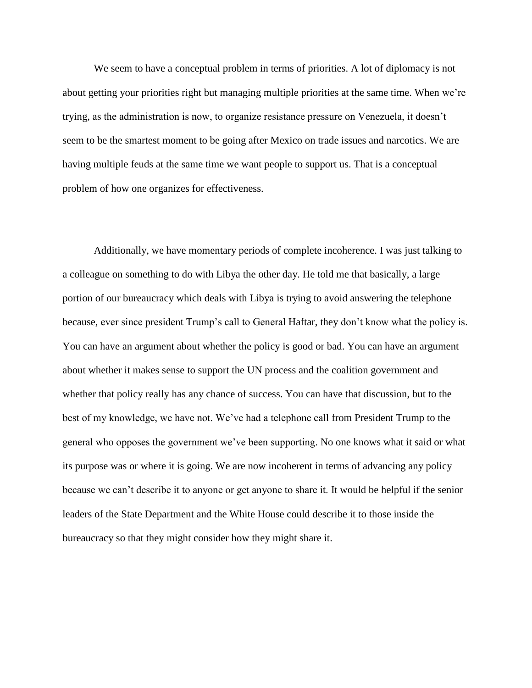We seem to have a conceptual problem in terms of priorities. A lot of diplomacy is not about getting your priorities right but managing multiple priorities at the same time. When we're trying, as the administration is now, to organize resistance pressure on Venezuela, it doesn't seem to be the smartest moment to be going after Mexico on trade issues and narcotics. We are having multiple feuds at the same time we want people to support us. That is a conceptual problem of how one organizes for effectiveness.

Additionally, we have momentary periods of complete incoherence. I was just talking to a colleague on something to do with Libya the other day. He told me that basically, a large portion of our bureaucracy which deals with Libya is trying to avoid answering the telephone because, ever since president Trump's call to General Haftar, they don't know what the policy is. You can have an argument about whether the policy is good or bad. You can have an argument about whether it makes sense to support the UN process and the coalition government and whether that policy really has any chance of success. You can have that discussion, but to the best of my knowledge, we have not. We've had a telephone call from President Trump to the general who opposes the government we've been supporting. No one knows what it said or what its purpose was or where it is going. We are now incoherent in terms of advancing any policy because we can't describe it to anyone or get anyone to share it. It would be helpful if the senior leaders of the State Department and the White House could describe it to those inside the bureaucracy so that they might consider how they might share it.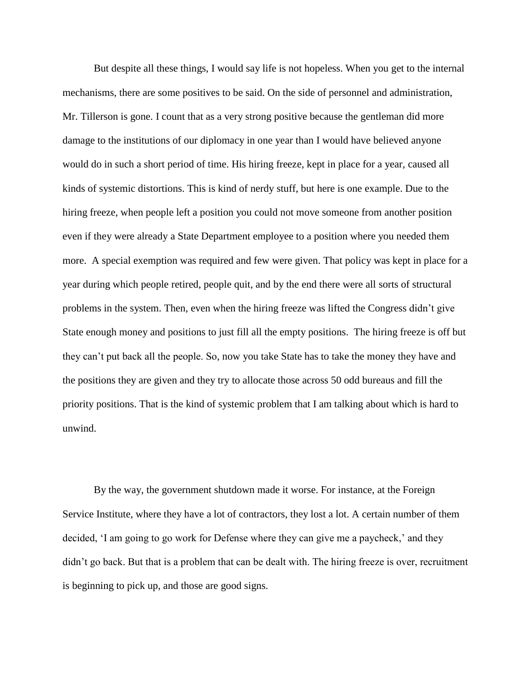But despite all these things, I would say life is not hopeless. When you get to the internal mechanisms, there are some positives to be said. On the side of personnel and administration, Mr. Tillerson is gone. I count that as a very strong positive because the gentleman did more damage to the institutions of our diplomacy in one year than I would have believed anyone would do in such a short period of time. His hiring freeze, kept in place for a year, caused all kinds of systemic distortions. This is kind of nerdy stuff, but here is one example. Due to the hiring freeze, when people left a position you could not move someone from another position even if they were already a State Department employee to a position where you needed them more. A special exemption was required and few were given. That policy was kept in place for a year during which people retired, people quit, and by the end there were all sorts of structural problems in the system. Then, even when the hiring freeze was lifted the Congress didn't give State enough money and positions to just fill all the empty positions. The hiring freeze is off but they can't put back all the people. So, now you take State has to take the money they have and the positions they are given and they try to allocate those across 50 odd bureaus and fill the priority positions. That is the kind of systemic problem that I am talking about which is hard to unwind.

By the way, the government shutdown made it worse. For instance, at the Foreign Service Institute, where they have a lot of contractors, they lost a lot. A certain number of them decided, 'I am going to go work for Defense where they can give me a paycheck,' and they didn't go back. But that is a problem that can be dealt with. The hiring freeze is over, recruitment is beginning to pick up, and those are good signs.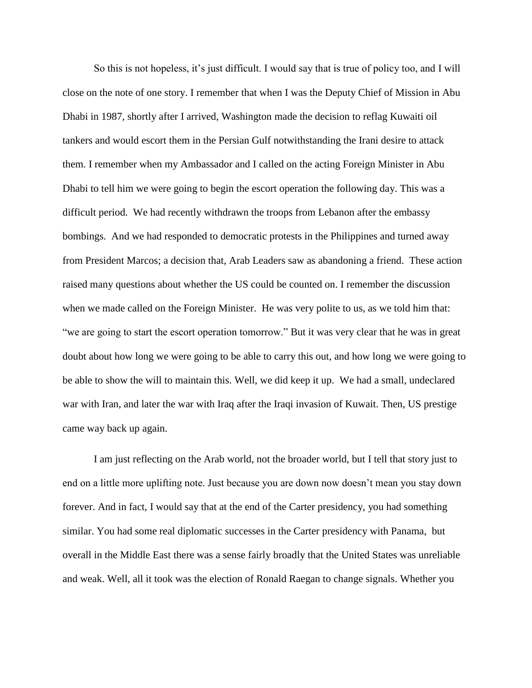So this is not hopeless, it's just difficult. I would say that is true of policy too, and I will close on the note of one story. I remember that when I was the Deputy Chief of Mission in Abu Dhabi in 1987, shortly after I arrived, Washington made the decision to reflag Kuwaiti oil tankers and would escort them in the Persian Gulf notwithstanding the Irani desire to attack them. I remember when my Ambassador and I called on the acting Foreign Minister in Abu Dhabi to tell him we were going to begin the escort operation the following day. This was a difficult period. We had recently withdrawn the troops from Lebanon after the embassy bombings. And we had responded to democratic protests in the Philippines and turned away from President Marcos; a decision that, Arab Leaders saw as abandoning a friend. These action raised many questions about whether the US could be counted on. I remember the discussion when we made called on the Foreign Minister. He was very polite to us, as we told him that: "we are going to start the escort operation tomorrow." But it was very clear that he was in great doubt about how long we were going to be able to carry this out, and how long we were going to be able to show the will to maintain this. Well, we did keep it up. We had a small, undeclared war with Iran, and later the war with Iraq after the Iraqi invasion of Kuwait. Then, US prestige came way back up again.

I am just reflecting on the Arab world, not the broader world, but I tell that story just to end on a little more uplifting note. Just because you are down now doesn't mean you stay down forever. And in fact, I would say that at the end of the Carter presidency, you had something similar. You had some real diplomatic successes in the Carter presidency with Panama, but overall in the Middle East there was a sense fairly broadly that the United States was unreliable and weak. Well, all it took was the election of Ronald Raegan to change signals. Whether you